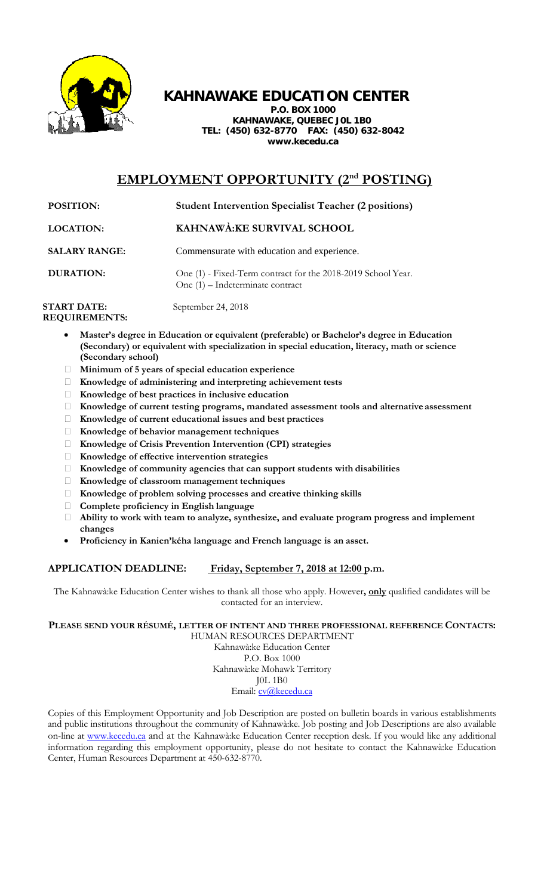

# **KAHNAWAKE EDUCATION CENTER**

**P.O. BOX 1000 KAHNAWAKE, QUEBEC J0L 1B0 TEL: (450) 632-8770 FAX: (450) 632-8042 [www.kecedu.ca](http://www.kecedu.ca/)**

## **EMPLOYMENT OPPORTUNITY (2nd POSTING)**

| <b>POSITION:</b>     | <b>Student Intervention Specialist Teacher (2 positions)</b>                                       |
|----------------------|----------------------------------------------------------------------------------------------------|
| <b>LOCATION:</b>     | KAHNAWÀ:KE SURVIVAL SCHOOL                                                                         |
| <b>SALARY RANGE:</b> | Commensurate with education and experience.                                                        |
| <b>DURATION:</b>     | One (1) - Fixed-Term contract for the 2018-2019 School Year.<br>One $(1)$ – Indeterminate contract |

**START DATE:** September 24, 2018 **REQUIREMENTS:**

- **Master's degree in Education or equivalent (preferable) or Bachelor's degree in Education (Secondary) or equivalent with specialization in special education, literacy, math or science (Secondary school)**
- **Minimum of 5 years of special education experience**
- **Knowledge of administering and interpreting achievement tests**
- **Knowledge of best practices in inclusive education**
- **Knowledge of current testing programs, mandated assessment tools and alternative assessment**
- **Knowledge of current educational issues and best practices**
- **Knowledge of behavior management techniques**
- **Knowledge of Crisis Prevention Intervention (CPI) strategies**
- **Knowledge of effective intervention strategies**
- **Knowledge of community agencies that can support students with disabilities**
- **Knowledge of classroom management techniques**
- **Knowledge of problem solving processes and creative thinking skills**
- **Complete proficiency in English language**
- **Ability to work with team to analyze, synthesize, and evaluate program progress and implement changes**
- **Proficiency in Kanien'kéha language and French language is an asset.**

## **APPLICATION DEADLINE: Friday, September 7, 2018 at 12:00 p.m.**

The Kahnawà:ke Education Center wishes to thank all those who apply. However**, only** qualified candidates will be contacted for an interview.

**PLEASE SEND YOUR RÉSUMÉ, LETTER OF INTENT AND THREE PROFESSIONAL REFERENCE CONTACTS:** HUMAN RESOURCES DEPARTMENT Kahnawà:ke Education Center

P.O. Box 1000 Kahnawà:ke Mohawk Territory J0L 1B0 Email: [cv@kecedu.ca](mailto:cv@kecedu.ca)

Copies of this Employment Opportunity and Job Description are posted on bulletin boards in various establishments and public institutions throughout the community of Kahnawà:ke. Job posting and Job Descriptions are also available on-line at [www.kecedu.ca](http://www.kecedu.ca/) and at the Kahnawà:ke Education Center reception desk. If you would like any additional information regarding this employment opportunity, please do not hesitate to contact the Kahnawà:ke Education Center, Human Resources Department at 450-632-8770.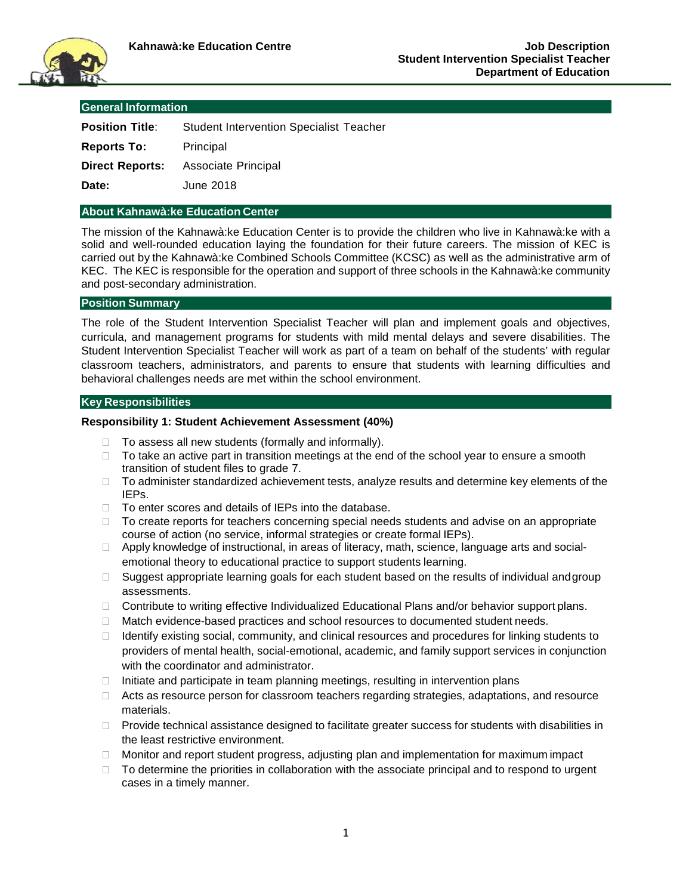

## **General Information**

| <b>Position Title:</b> | <b>Student Intervention Specialist Teacher</b> |
|------------------------|------------------------------------------------|
| <b>Reports To:</b>     | Principal                                      |
|                        | <b>Direct Reports:</b> Associate Principal     |
| Date:                  | June 2018                                      |

#### **About Kahnawà:ke Education Center**

The mission of the Kahnawà:ke Education Center is to provide the children who live in Kahnawà:ke with a solid and well-rounded education laying the foundation for their future careers. The mission of KEC is carried out by the Kahnawà:ke Combined Schools Committee (KCSC) as well as the administrative arm of KEC. The KEC is responsible for the operation and support of three schools in the Kahnawà:ke community and post-secondary administration.

#### **Position Summary**

The role of the Student Intervention Specialist Teacher will plan and implement goals and objectives, curricula, and management programs for students with mild mental delays and severe disabilities. The Student Intervention Specialist Teacher will work as part of a team on behalf of the students' with regular classroom teachers, administrators, and parents to ensure that students with learning difficulties and behavioral challenges needs are met within the school environment.

### **Key Responsibilities**

#### **Responsibility 1: Student Achievement Assessment (40%)**

- $\Box$  To assess all new students (formally and informally).
- $\Box$  To take an active part in transition meetings at the end of the school year to ensure a smooth transition of student files to grade 7.
- $\Box$  To administer standardized achievement tests, analyze results and determine key elements of the IEPs.
- $\Box$  To enter scores and details of IEPs into the database.
- $\Box$  To create reports for teachers concerning special needs students and advise on an appropriate course of action (no service, informal strategies or create formal IEPs).
- □ Apply knowledge of instructional, in areas of literacy, math, science, language arts and socialemotional theory to educational practice to support students learning.
- $\Box$  Suggest appropriate learning goals for each student based on the results of individual and group assessments.
- $\Box$  Contribute to writing effective Individualized Educational Plans and/or behavior support plans.
- $\Box$  Match evidence-based practices and school resources to documented student needs.
- $\Box$  Identify existing social, community, and clinical resources and procedures for linking students to providers of mental health, social-emotional, academic, and family support services in conjunction with the coordinator and administrator.
- $\Box$  Initiate and participate in team planning meetings, resulting in intervention plans
- $\Box$  Acts as resource person for classroom teachers regarding strategies, adaptations, and resource materials.
- $\Box$  Provide technical assistance designed to facilitate greater success for students with disabilities in the least restrictive environment.
- $\Box$  Monitor and report student progress, adjusting plan and implementation for maximum impact
- $\Box$  To determine the priorities in collaboration with the associate principal and to respond to urgent cases in a timely manner.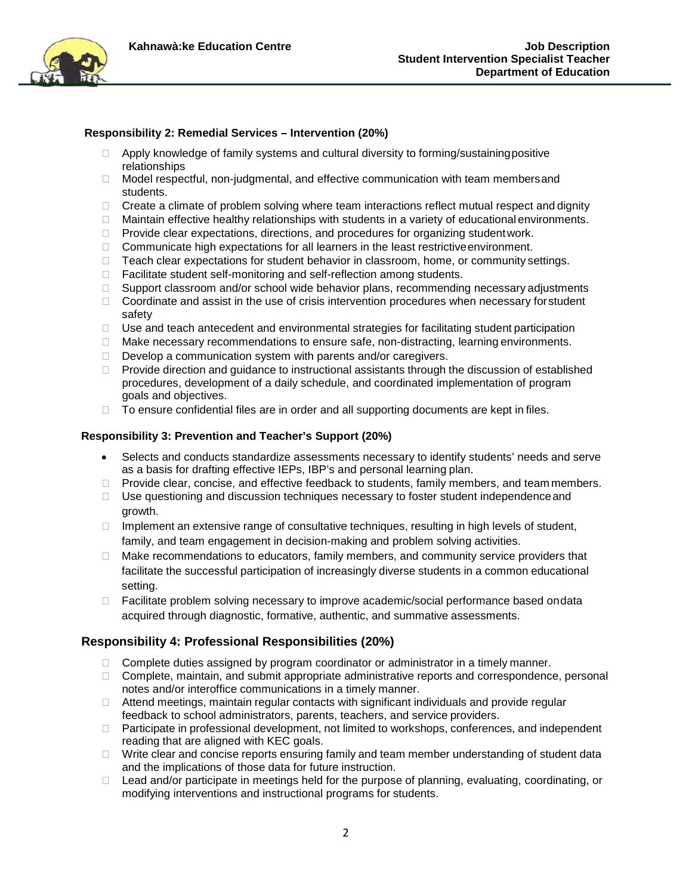

## **Responsibility 2: Remedial Services – Intervention (20%)**

- $\Box$  Apply knowledge of family systems and cultural diversity to forming/sustaining positive relationships
- $\Box$  Model respectful, non-judgmental, and effective communication with team members and students.
- $\Box$  Create a climate of problem solving where team interactions reflect mutual respect and dignity
- $\Box$  Maintain effective healthy relationships with students in a variety of educational environments.
- $\Box$  Provide clear expectations, directions, and procedures for organizing student work.
- $\Box$  Communicate high expectations for all learners in the least restrictive environment.
- □ Teach clear expectations for student behavior in classroom, home, or community settings.
- □ Facilitate student self-monitoring and self-reflection among students.
- □ Support classroom and/or school wide behavior plans, recommending necessary adjustments
- $\Box$  Coordinate and assist in the use of crisis intervention procedures when necessary for student safety
- $\Box$  Use and teach antecedent and environmental strategies for facilitating student participation
- $\Box$  Make necessary recommendations to ensure safe, non-distracting, learning environments.
- $\Box$  Develop a communication system with parents and/or caregivers.
- $\Box$  Provide direction and guidance to instructional assistants through the discussion of established procedures, development of a daily schedule, and coordinated implementation of program goals and objectives.
- □ To ensure confidential files are in order and all supporting documents are kept in files.

### **Responsibility 3: Prevention and Teacher's Support (20%)**

- Selects and conducts standardize assessments necessary to identify students' needs and serve as a basis for drafting effective IEPs, IBP's and personal learning plan.
- $\Box$  Provide clear, concise, and effective feedback to students, family members, and team members.
- $\Box$  Use questioning and discussion techniques necessary to foster student independence and growth.
- $\Box$  Implement an extensive range of consultative techniques, resulting in high levels of student, family, and team engagement in decision-making and problem solving activities.
- $\Box$  Make recommendations to educators, family members, and community service providers that facilitate the successful participation of increasingly diverse students in a common educational setting.
- □ Facilitate problem solving necessary to improve academic/social performance based ondata acquired through diagnostic, formative, authentic, and summative assessments.

## **Responsibility 4: Professional Responsibilities (20%)**

- □ Complete duties assigned by program coordinator or administrator in a timely manner.
- $\Box$  Complete, maintain, and submit appropriate administrative reports and correspondence, personal notes and/or interoffice communications in a timely manner.
- Attend meetings, maintain regular contacts with significant individuals and provide regular feedback to school administrators, parents, teachers, and service providers.
- $\Box$  Participate in professional development, not limited to workshops, conferences, and independent reading that are aligned with KEC goals.
- $\Box$  Write clear and concise reports ensuring family and team member understanding of student data and the implications of those data for future instruction.
- $\Box$  Lead and/or participate in meetings held for the purpose of planning, evaluating, coordinating, or modifying interventions and instructional programs for students.